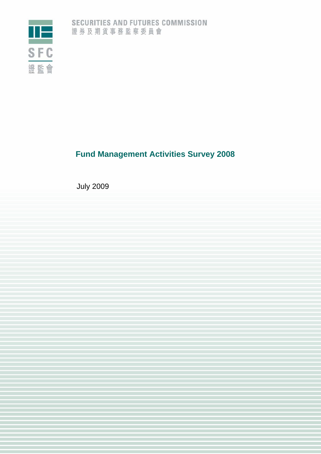

# **Fund Management Activities Survey 2008**

July 2009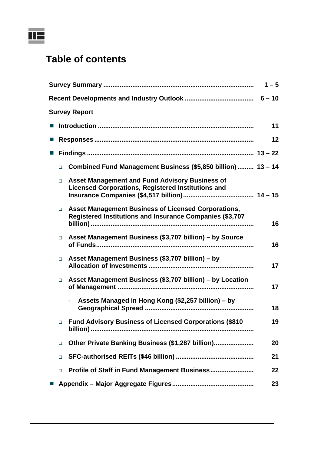

# **Table of contents**

|   |        |                                                                                                                    | $1 - 5$ |
|---|--------|--------------------------------------------------------------------------------------------------------------------|---------|
|   |        |                                                                                                                    |         |
|   |        | <b>Survey Report</b>                                                                                               |         |
|   |        |                                                                                                                    | 11      |
|   |        |                                                                                                                    | 12      |
| ш |        |                                                                                                                    |         |
|   | $\Box$ | Combined Fund Management Business (\$5,850 billion)  13 - 14                                                       |         |
|   | $\Box$ | <b>Asset Management and Fund Advisory Business of</b><br><b>Licensed Corporations, Registered Institutions and</b> |         |
|   | $\Box$ | Asset Management Business of Licensed Corporations,<br>Registered Institutions and Insurance Companies (\$3,707    | 16      |
|   | $\Box$ | Asset Management Business (\$3,707 billion) - by Source                                                            | 16      |
|   | $\Box$ | Asset Management Business (\$3,707 billion) – by                                                                   | 17      |
|   | $\Box$ | Asset Management Business (\$3,707 billion) - by Location                                                          | 17      |
|   |        | Assets Managed in Hong Kong (\$2,257 billion) – by                                                                 | 18      |
|   |        | □ Fund Advisory Business of Licensed Corporations (\$810                                                           | 19      |
|   | $\Box$ | Other Private Banking Business (\$1,287 billion)                                                                   | 20      |
|   | $\Box$ |                                                                                                                    | 21      |
|   | $\Box$ | Profile of Staff in Fund Management Business                                                                       | 22      |
|   |        |                                                                                                                    | 23      |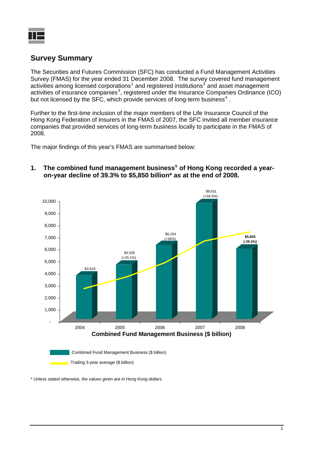## **Survey Summary**

The Securities and Futures Commission (SFC) has conducted a Fund Management Activities Survey (FMAS) for the year ended 31 December 2008. The survey covered fund management activities among licensed corporations<sup>[1](#page-25-0)</sup> and registered institutions<sup>[2](#page-25-1)</sup> and asset management activities of insurance companies<sup>[3](#page-25-1)</sup>, registered under the Insurance Companies Ordinance (ICO) but not licensed by the SFC, which provide services of long-term business<sup>[4](#page-25-1)</sup>.

Further to the first-time inclusion of the major members of the Life Insurance Council of the Hong Kong Federation of Insurers in the FMAS of 2007, the SFC invited all member insurance companies that provided services of long-term business locally to participate in the FMAS of 2008.

The major findings of this year's FMAS are summarised below:



**1. The combined fund management business[5](#page-25-1) of Hong Kong recorded a yearon-year decline of 39.3% to \$5,850 billion\* as at the end of 2008.** 

\* *Unless stated otherwise, the values given are in Hong Kong dollars.*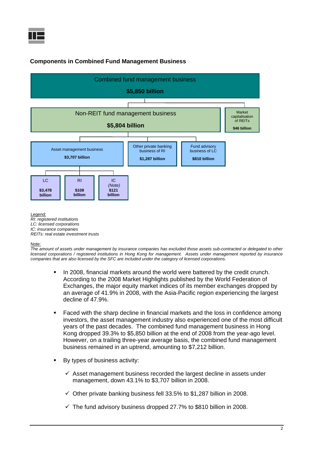

### **Components in Combined Fund Management Business**



#### Note:

*The amount of assets under management by insurance companies has excluded those assets sub-contracted or delegated to other licensed corporations / registered institutions in Hong Kong for management. Assets under management reported by insurance companies that are also licensed by the SFC are included under the category of licensed corporations.* 

- In 2008, financial markets around the world were battered by the credit crunch. According to the 2008 Market Highlights published by the World Federation of Exchanges, the major equity market indices of its member exchanges dropped by an average of 41.9% in 2008, with the Asia-Pacific region experiencing the largest decline of 47.9%.
- Faced with the sharp decline in financial markets and the loss in confidence among investors, the asset management industry also experienced one of the most difficult years of the past decades. The combined fund management business in Hong Kong dropped 39.3% to \$5,850 billion at the end of 2008 from the year-ago level. However, on a trailing three-year average basis, the combined fund management business remained in an uptrend, amounting to \$7,212 billion.
- By types of business activity:
	- $\checkmark$  Asset management business recorded the largest decline in assets under management, down 43.1% to \$3,707 billion in 2008.
	- $\checkmark$  Other private banking business fell 33.5% to \$1,287 billion in 2008.
	- $\checkmark$  The fund advisory business dropped 27.7% to \$810 billion in 2008.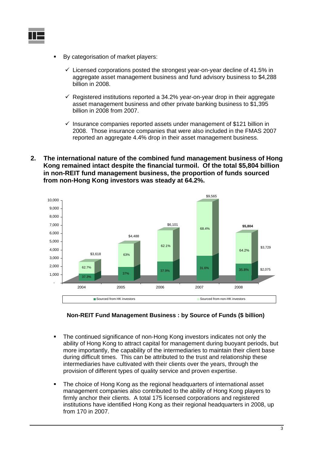

- By categorisation of market players:
	- $\checkmark$  Licensed corporations posted the strongest year-on-year decline of 41.5% in aggregate asset management business and fund advisory business to \$4,288 billion in 2008.
	- $\checkmark$  Registered institutions reported a 34.2% year-on-year drop in their aggregate asset management business and other private banking business to \$1,395 billion in 2008 from 2007.
	- $\checkmark$  Insurance companies reported assets under management of \$121 billion in 2008. Those insurance companies that were also included in the FMAS 2007 reported an aggregate 4.4% drop in their asset management business.
- **2. The international nature of the combined fund management business of Hong Kong remained intact despite the financial turmoil. Of the total \$5,804 billion in non-REIT fund management business, the proportion of funds sourced from non-Hong Kong investors was steady at 64.2%.**





- The continued significance of non-Hong Kong investors indicates not only the ability of Hong Kong to attract capital for management during buoyant periods, but more importantly, the capability of the intermediaries to maintain their client base during difficult times. This can be attributed to the trust and relationship these intermediaries have cultivated with their clients over the years, through the provision of different types of quality service and proven expertise.
- The choice of Hong Kong as the regional headquarters of international asset management companies also contributed to the ability of Hong Kong players to firmly anchor their clients. A total 175 licensed corporations and registered institutions have identified Hong Kong as their regional headquarters in 2008, up from 170 in 2007.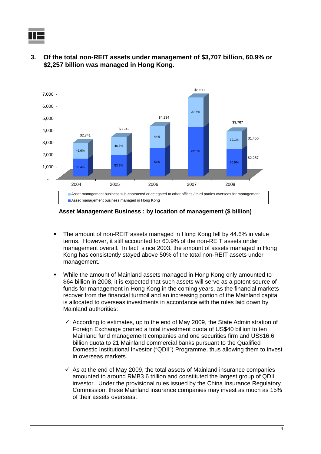

**3. Of the total non-REIT assets under management of \$3,707 billion, 60.9% or \$2,257 billion was managed in Hong Kong.** 



**Asset Management Business : by location of management (\$ billion)**

- The amount of non-REIT assets managed in Hong Kong fell by 44.6% in value terms. However, it still accounted for 60.9% of the non-REIT assets under management overall. In fact, since 2003, the amount of assets managed in Hong Kong has consistently stayed above 50% of the total non-REIT assets under management.
- While the amount of Mainland assets managed in Hong Kong only amounted to \$64 billion in 2008, it is expected that such assets will serve as a potent source of funds for management in Hong Kong in the coming years, as the financial markets recover from the financial turmoil and an increasing portion of the Mainland capital is allocated to overseas investments in accordance with the rules laid down by Mainland authorities:
	- $\checkmark$  According to estimates, up to the end of May 2009, the State Administration of Foreign Exchange granted a total investment quota of US\$40 billion to ten Mainland fund management companies and one securities firm and US\$16.6 billion quota to 21 Mainland commercial banks pursuant to the Qualified Domestic Institutional Investor ("QDII") Programme, thus allowing them to invest in overseas markets.
	- $\checkmark$  As at the end of May 2009, the total assets of Mainland insurance companies amounted to around RMB3.6 trillion and constituted the largest group of QDII investor. Under the provisional rules issued by the China Insurance Regulatory Commission, these Mainland insurance companies may invest as much as 15% of their assets overseas.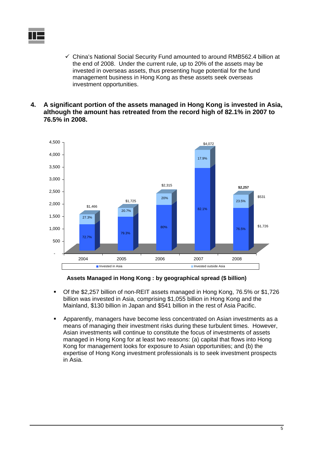- $\checkmark$  China's National Social Security Fund amounted to around RMB562.4 billion at the end of 2008. Under the current rule, up to 20% of the assets may be invested in overseas assets, thus presenting huge potential for the fund management business in Hong Kong as these assets seek overseas investment opportunities.
- **4. A significant portion of the assets managed in Hong Kong is invested in Asia, although the amount has retreated from the record high of 82.1% in 2007 to 76.5% in 2008.**



#### **Assets Managed in Hong Kong : by geographical spread (\$ billion)**

- Of the \$2,257 billion of non-REIT assets managed in Hong Kong, 76.5% or \$1,726 billion was invested in Asia, comprising \$1,055 billion in Hong Kong and the Mainland, \$130 billion in Japan and \$541 billion in the rest of Asia Pacific.
- Apparently, managers have become less concentrated on Asian investments as a means of managing their investment risks during these turbulent times. However, Asian investments will continue to constitute the focus of investments of assets managed in Hong Kong for at least two reasons: (a) capital that flows into Hong Kong for management looks for exposure to Asian opportunities; and (b) the expertise of Hong Kong investment professionals is to seek investment prospects in Asia.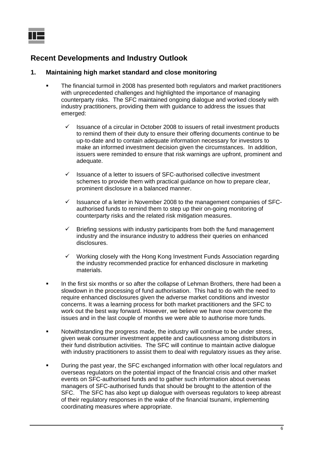### **Recent Developments and Industry Outlook**

### **1. Maintaining high market standard and close monitoring**

- The financial turmoil in 2008 has presented both regulators and market practitioners with unprecedented challenges and highlighted the importance of managing counterparty risks. The SFC maintained ongoing dialogue and worked closely with industry practitioners, providing them with guidance to address the issues that emerged:
	- $\checkmark$  Issuance of a circular in October 2008 to issuers of retail investment products to remind them of their duty to ensure their offering documents continue to be up-to-date and to contain adequate information necessary for investors to make an informed investment decision given the circumstances. In addition, issuers were reminded to ensure that risk warnings are upfront, prominent and adequate.
	- $\checkmark$  Issuance of a letter to issuers of SFC-authorised collective investment schemes to provide them with practical guidance on how to prepare clear, prominent disclosure in a balanced manner.
	- $\checkmark$  Issuance of a letter in November 2008 to the management companies of SFCauthorised funds to remind them to step up their on-going monitoring of counterparty risks and the related risk mitigation measures.
	- $\checkmark$  Briefing sessions with industry participants from both the fund management industry and the insurance industry to address their queries on enhanced disclosures.
	- $\checkmark$  Working closely with the Hong Kong Investment Funds Association regarding the industry recommended practice for enhanced disclosure in marketing materials.
- In the first six months or so after the collapse of Lehman Brothers, there had been a slowdown in the processing of fund authorisation. This had to do with the need to require enhanced disclosures given the adverse market conditions and investor concerns. It was a learning process for both market practitioners and the SFC to work out the best way forward. However, we believe we have now overcome the issues and in the last couple of months we were able to authorise more funds.
- Notwithstanding the progress made, the industry will continue to be under stress, given weak consumer investment appetite and cautiousness among distributors in their fund distribution activities. The SFC will continue to maintain active dialogue with industry practitioners to assist them to deal with regulatory issues as they arise.
- During the past year, the SFC exchanged information with other local regulators and overseas regulators on the potential impact of the financial crisis and other market events on SFC-authorised funds and to gather such information about overseas managers of SFC-authorised funds that should be brought to the attention of the SFC. The SFC has also kept up dialogue with overseas regulators to keep abreast of their regulatory responses in the wake of the financial tsunami, implementing coordinating measures where appropriate.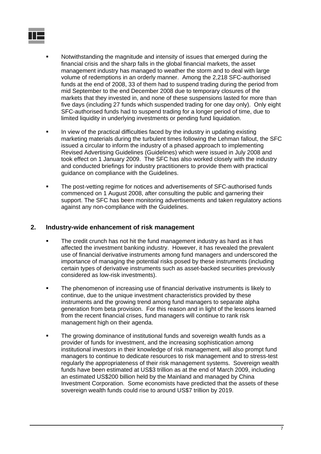

- Notwithstanding the magnitude and intensity of issues that emerged during the financial crisis and the sharp falls in the global financial markets, the asset management industry has managed to weather the storm and to deal with large volume of redemptions in an orderly manner. Among the 2,218 SFC-authorised funds at the end of 2008, 33 of them had to suspend trading during the period from mid September to the end December 2008 due to temporary closures of the markets that they invested in, and none of these suspensions lasted for more than five days (including 27 funds which suspended trading for one day only). Only eight SFC-authorised funds had to suspend trading for a longer period of time, due to limited liquidity in underlying investments or pending fund liquidation.
- In view of the practical difficulties faced by the industry in updating existing marketing materials during the turbulent times following the Lehman fallout, the SFC issued a circular to inform the industry of a phased approach to implementing Revised Advertising Guidelines (Guidelines) which were issued in July 2008 and took effect on 1 January 2009. The SFC has also worked closely with the industry and conducted briefings for industry practitioners to provide them with practical guidance on compliance with the Guidelines.
- The post-vetting regime for notices and advertisements of SFC-authorised funds commenced on 1 August 2008, after consulting the public and garnering their support. The SFC has been monitoring advertisements and taken regulatory actions against any non-compliance with the Guidelines.

### **2. Industry-wide enhancement of risk management**

- The credit crunch has not hit the fund management industry as hard as it has affected the investment banking industry. However, it has revealed the prevalent use of financial derivative instruments among fund managers and underscored the importance of managing the potential risks posed by these instruments (including certain types of derivative instruments such as asset-backed securities previously considered as low-risk investments).
- **The phenomenon of increasing use of financial derivative instruments is likely to** continue, due to the unique investment characteristics provided by these instruments and the growing trend among fund managers to separate alpha generation from beta provision. For this reason and in light of the lessons learned from the recent financial crises, fund managers will continue to rank risk management high on their agenda.
- The growing dominance of institutional funds and sovereign wealth funds as a provider of funds for investment, and the increasing sophistication among institutional investors in their knowledge of risk management, will also prompt fund managers to continue to dedicate resources to risk management and to stress-test regularly the appropriateness of their risk management systems. Sovereign wealth funds have been estimated at US\$3 trillion as at the end of March 2009, including an estimated US\$200 billion held by the Mainland and managed by China Investment Corporation. Some economists have predicted that the assets of these sovereign wealth funds could rise to around US\$7 trillion by 2019.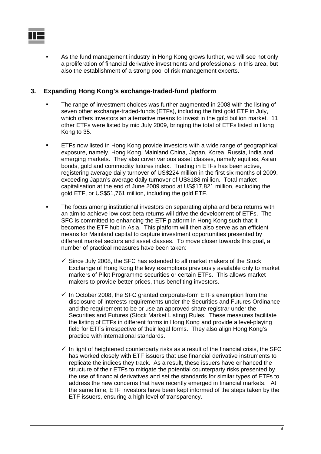

 As the fund management industry in Hong Kong grows further, we will see not only a proliferation of financial derivative investments and professionals in this area, but also the establishment of a strong pool of risk management experts.

### **3. Expanding Hong Kong's exchange-traded-fund platform**

- The range of investment choices was further augmented in 2008 with the listing of seven other exchange-traded-funds (ETFs), including the first gold ETF in July, which offers investors an alternative means to invest in the gold bullion market. 11 other ETFs were listed by mid July 2009, bringing the total of ETFs listed in Hong Kong to 35.
- ETFs now listed in Hong Kong provide investors with a wide range of geographical exposure, namely, Hong Kong, Mainland China, Japan, Korea, Russia, India and emerging markets. They also cover various asset classes, namely equities, Asian bonds, gold and commodity futures index. Trading in ETFs has been active, registering average daily turnover of US\$224 million in the first six months of 2009, exceeding Japan's average daily turnover of US\$188 million. Total market capitalisation at the end of June 2009 stood at US\$17,821 million, excluding the gold ETF, or US\$51,761 million, including the gold ETF.
- The focus among institutional investors on separating alpha and beta returns with an aim to achieve low cost beta returns will drive the development of ETFs. The SFC is committed to enhancing the ETF platform in Hong Kong such that it becomes the ETF hub in Asia. This platform will then also serve as an efficient means for Mainland capital to capture investment opportunities presented by different market sectors and asset classes. To move closer towards this goal, a number of practical measures have been taken:
	- $\checkmark$  Since July 2008, the SFC has extended to all market makers of the Stock Exchange of Hong Kong the levy exemptions previously available only to market markers of Pilot Programme securities or certain ETFs. This allows market makers to provide better prices, thus benefiting investors.
	- $\checkmark$  In October 2008, the SFC granted corporate-form ETFs exemption from the disclosure-of-interests requirements under the Securities and Futures Ordinance and the requirement to be or use an approved share registrar under the Securities and Futures (Stock Market Listing) Rules. These measures facilitate the listing of ETFs in different forms in Hong Kong and provide a level-playing field for ETFs irrespective of their legal forms. They also align Hong Kong's practice with international standards.
	- $\checkmark$  In light of heightened counterparty risks as a result of the financial crisis, the SFC has worked closely with ETF issuers that use financial derivative instruments to replicate the indices they track. As a result, these issuers have enhanced the structure of their ETFs to mitigate the potential counterparty risks presented by the use of financial derivatives and set the standards for similar types of ETFs to address the new concerns that have recently emerged in financial markets. At the same time, ETF investors have been kept informed of the steps taken by the ETF issuers, ensuring a high level of transparency.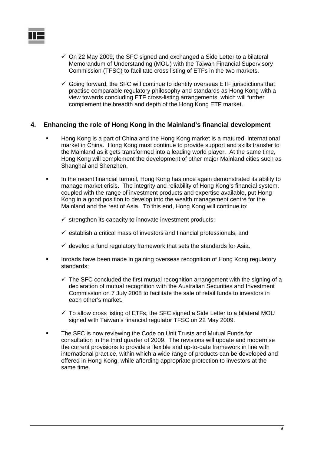

- $\checkmark$  On 22 May 2009, the SFC signed and exchanged a Side Letter to a bilateral Memorandum of Understanding (MOU) with the Taiwan Financial Supervisory Commission (TFSC) to facilitate cross listing of ETFs in the two markets.
- $\checkmark$  Going forward, the SFC will continue to identify overseas ETF jurisdictions that practise comparable regulatory philosophy and standards as Hong Kong with a view towards concluding ETF cross-listing arrangements, which will further complement the breadth and depth of the Hong Kong ETF market.

### **4. Enhancing the role of Hong Kong in the Mainland's financial development**

- Hong Kong is a part of China and the Hong Kong market is a matured, international market in China. Hong Kong must continue to provide support and skills transfer to the Mainland as it gets transformed into a leading world player. At the same time, Hong Kong will complement the development of other major Mainland cities such as Shanghai and Shenzhen.
- In the recent financial turmoil, Hong Kong has once again demonstrated its ability to manage market crisis. The integrity and reliability of Hong Kong's financial system, coupled with the range of investment products and expertise available, put Hong Kong in a good position to develop into the wealth management centre for the Mainland and the rest of Asia. To this end, Hong Kong will continue to:
	- $\checkmark$  strengthen its capacity to innovate investment products;
	- $\checkmark$  establish a critical mass of investors and financial professionals; and
	- $\checkmark$  develop a fund regulatory framework that sets the standards for Asia.
- **Inroads have been made in gaining overseas recognition of Hong Kong regulatory** standards:
	- $\checkmark$  The SFC concluded the first mutual recognition arrangement with the signing of a declaration of mutual recognition with the Australian Securities and Investment Commission on 7 July 2008 to facilitate the sale of retail funds to investors in each other's market.
	- $\checkmark$  To allow cross listing of ETFs, the SFC signed a Side Letter to a bilateral MOU signed with Taiwan's financial regulator TFSC on 22 May 2009.
- The SFC is now reviewing the Code on Unit Trusts and Mutual Funds for consultation in the third quarter of 2009. The revisions will update and modernise the current provisions to provide a flexible and up-to-date framework in line with international practice, within which a wide range of products can be developed and offered in Hong Kong, while affording appropriate protection to investors at the same time.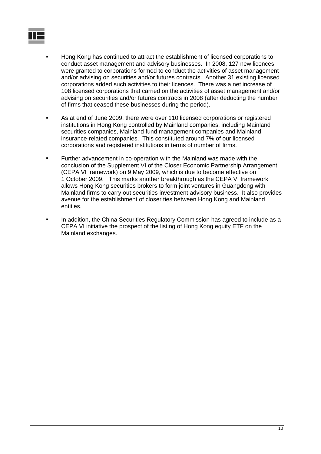

- Hong Kong has continued to attract the establishment of licensed corporations to conduct asset management and advisory businesses. In 2008, 127 new licences were granted to corporations formed to conduct the activities of asset management and/or advising on securities and/or futures contracts. Another 31 existing licensed corporations added such activities to their licences. There was a net increase of 108 licensed corporations that carried on the activities of asset management and/or advising on securities and/or futures contracts in 2008 (after deducting the number of firms that ceased these businesses during the period).
- As at end of June 2009, there were over 110 licensed corporations or registered institutions in Hong Kong controlled by Mainland companies, including Mainland securities companies, Mainland fund management companies and Mainland insurance-related companies. This constituted around 7% of our licensed corporations and registered institutions in terms of number of firms.
- Further advancement in co-operation with the Mainland was made with the conclusion of the Supplement VI of the Closer Economic Partnership Arrangement (CEPA VI framework) on 9 May 2009, which is due to become effective on 1 October 2009. This marks another breakthrough as the CEPA VI framework allows Hong Kong securities brokers to form joint ventures in Guangdong with Mainland firms to carry out securities investment advisory business. It also provides avenue for the establishment of closer ties between Hong Kong and Mainland entities.
- In addition, the China Securities Regulatory Commission has agreed to include as a CEPA VI initiative the prospect of the listing of Hong Kong equity ETF on the Mainland exchanges.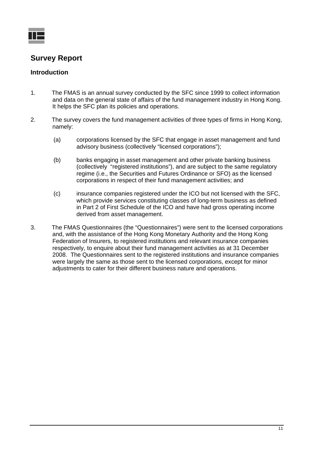

### **Survey Report**

### **Introduction**

- 1. The FMAS is an annual survey conducted by the SFC since 1999 to collect information and data on the general state of affairs of the fund management industry in Hong Kong. It helps the SFC plan its policies and operations.
- 2. The survey covers the fund management activities of three types of firms in Hong Kong, namely:
	- (a) corporations licensed by the SFC that engage in asset management and fund advisory business (collectively "licensed corporations");
	- (b) banks engaging in asset management and other private banking business (collectively "registered institutions"), and are subject to the same regulatory regime (i.e., the Securities and Futures Ordinance or SFO) as the licensed corporations in respect of their fund management activities; and
	- (c) insurance companies registered under the ICO but not licensed with the SFC, which provide services constituting classes of long-term business as defined in Part 2 of First Schedule of the ICO and have had gross operating income derived from asset management.
- 3. The FMAS Questionnaires (the "Questionnaires") were sent to the licensed corporations and, with the assistance of the Hong Kong Monetary Authority and the Hong Kong Federation of Insurers, to registered institutions and relevant insurance companies respectively, to enquire about their fund management activities as at 31 December 2008. The Questionnaires sent to the registered institutions and insurance companies were largely the same as those sent to the licensed corporations, except for minor adjustments to cater for their different business nature and operations.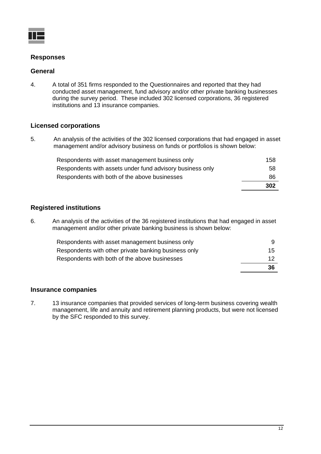

### **Responses**

### **General**

4. A total of 351 firms responded to the Questionnaires and reported that they had conducted asset management, fund advisory and/or other private banking businesses during the survey period. These included 302 licensed corporations, 36 registered institutions and 13 insurance companies.

### **Licensed corporations**

5. An analysis of the activities of the 302 licensed corporations that had engaged in asset management and/or advisory business on funds or portfolios is shown below:

| Respondents with asset management business only           | 158 |
|-----------------------------------------------------------|-----|
| Respondents with assets under fund advisory business only | .58 |
| Respondents with both of the above businesses             | 86  |
|                                                           | 302 |

### **Registered institutions**

6. An analysis of the activities of the 36 registered institutions that had engaged in asset management and/or other private banking business is shown below:

| Respondents with asset management business only      |    |
|------------------------------------------------------|----|
| Respondents with other private banking business only | 15 |
| Respondents with both of the above businesses        | 12 |
|                                                      | 36 |

### **Insurance companies**

7. 13 insurance companies that provided services of long-term business covering wealth management, life and annuity and retirement planning products, but were not licensed by the SFC responded to this survey.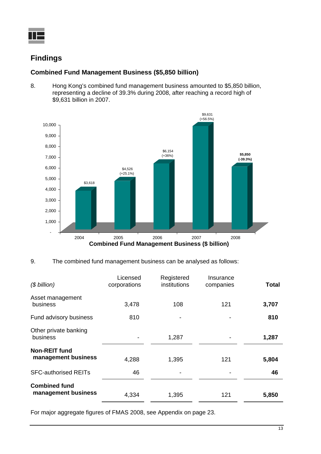

## **Findings**

### **Combined Fund Management Business (\$5,850 billion)**

8. Hong Kong's combined fund management business amounted to \$5,850 billion, representing a decline of 39.3% during 2008, after reaching a record high of \$9,631 billion in 2007.



9. The combined fund management business can be analysed as follows:

| $($$ billion)                               | Licensed<br>corporations | Registered<br>institutions | Insurance<br>companies | Total |
|---------------------------------------------|--------------------------|----------------------------|------------------------|-------|
| Asset management<br>business                | 3,478                    | 108                        | 121                    | 3,707 |
| Fund advisory business                      | 810                      | $\blacksquare$             |                        | 810   |
| Other private banking<br>business           |                          | 1,287                      |                        | 1,287 |
| <b>Non-REIT fund</b><br>management business | 4,288                    | 1,395                      | 121                    | 5,804 |
| <b>SFC-authorised REITs</b>                 | 46                       |                            |                        | 46    |
| <b>Combined fund</b><br>management business | 4,334                    | 1,395                      | 121                    | 5,850 |

For major aggregate figures of FMAS 2008, see Appendix on page 23.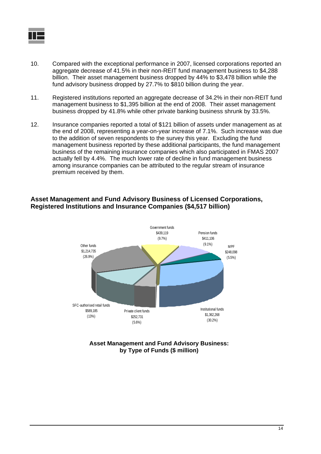

- 10. Compared with the exceptional performance in 2007, licensed corporations reported an aggregate decrease of 41.5% in their non-REIT fund management business to \$4,288 billion. Their asset management business dropped by 44% to \$3,478 billion while the fund advisory business dropped by 27.7% to \$810 billion during the year.
- 11. Registered institutions reported an aggregate decrease of 34.2% in their non-REIT fund management business to \$1,395 billion at the end of 2008. Their asset management business dropped by 41.8% while other private banking business shrunk by 33.5%.
- 12. Insurance companies reported a total of \$121 billion of assets under management as at the end of 2008, representing a year-on-year increase of 7.1%. Such increase was due to the addition of seven respondents to the survey this year. Excluding the fund management business reported by these additional participants, the fund management business of the remaining insurance companies which also participated in FMAS 2007 actually fell by 4.4%. The much lower rate of decline in fund management business among insurance companies can be attributed to the regular stream of insurance premium received by them.

### **Asset Management and Fund Advisory Business of Licensed Corporations, Registered Institutions and Insurance Companies (\$4,517 billion)**



**Asset Management and Fund Advisory Business: by Type of Funds (\$ million)**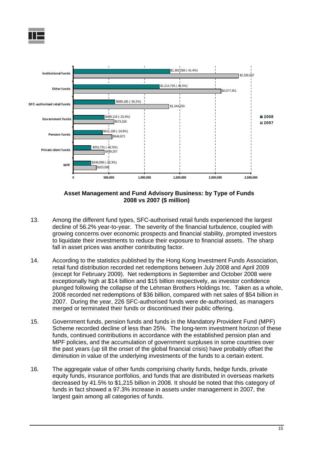



**Asset Management and Fund Advisory Business: by Type of Funds 2008 vs 2007 (\$ million)**

- 13. Among the different fund types, SFC-authorised retail funds experienced the largest decline of 56.2% year-to-year. The severity of the financial turbulence, coupled with growing concerns over economic prospects and financial stability, prompted investors to liquidate their investments to reduce their exposure to financial assets. The sharp fall in asset prices was another contributing factor.
- 14. According to the statistics published by the Hong Kong Investment Funds Association, retail fund distribution recorded net redemptions between July 2008 and April 2009 (except for February 2009). Net redemptions in September and October 2008 were exceptionally high at \$14 billion and \$15 billion respectively, as investor confidence plunged following the collapse of the Lehman Brothers Holdings Inc. Taken as a whole, 2008 recorded net redemptions of \$36 billion, compared with net sales of \$54 billion in 2007. During the year, 226 SFC-authorised funds were de-authorised, as managers merged or terminated their funds or discontinued their public offering.
- 15. Government funds, pension funds and funds in the Mandatory Provident Fund (MPF) Scheme recorded decline of less than 25%. The long-term investment horizon of these funds, continued contributions in accordance with the established pension plan and MPF policies, and the accumulation of government surpluses in some countries over the past years (up till the onset of the global financial crisis) have probably offset the diminution in value of the underlying investments of the funds to a certain extent.
- 16. The aggregate value of other funds comprising charity funds, hedge funds, private equity funds, insurance portfolios, and funds that are distributed in overseas markets decreased by 41.5% to \$1,215 billion in 2008. It should be noted that this category of funds in fact showed a 97.3% increase in assets under management in 2007, the largest gain among all categories of funds.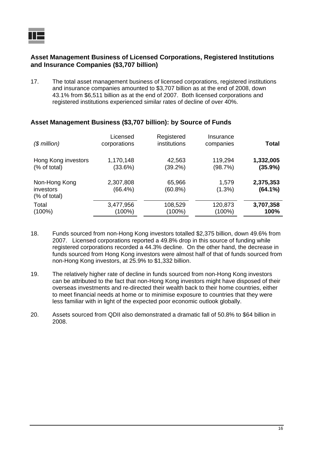

### **Asset Management Business of Licensed Corporations, Registered Institutions and Insurance Companies (\$3,707 billion)**

17. The total asset management business of licensed corporations, registered institutions and insurance companies amounted to \$3,707 billion as at the end of 2008, down 43.1% from \$6,511 billion as at the end of 2007. Both licensed corporations and registered institutions experienced similar rates of decline of over 40%.

| $$$ million)                               | Licensed<br>corporations | Registered<br>institutions | Insurance<br>companies | <b>Total</b>            |
|--------------------------------------------|--------------------------|----------------------------|------------------------|-------------------------|
| Hong Kong investors                        | 1,170,148                | 42,563                     | 119,294                | 1,332,005               |
| (% of total)                               | (33.6%)                  | (39.2%)                    | (98.7%)                | (35.9%)                 |
| Non-Hong Kong<br>investors<br>(% of total) | 2,307,808<br>(66.4%)     | 65,966<br>(60.8%)          | 1,579<br>(1.3%)        | 2,375,353<br>$(64.1\%)$ |
| Total                                      | 3,477,956                | 108,529                    | 120,873                | 3,707,358               |
| $(100\%)$                                  | (100%)                   | (100%)                     | (100%)                 | 100%                    |

### **Asset Management Business (\$3,707 billion): by Source of Funds**

- 18. Funds sourced from non-Hong Kong investors totalled \$2,375 billion, down 49.6% from 2007. Licensed corporations reported a 49.8% drop in this source of funding while registered corporations recorded a 44.3% decline. On the other hand, the decrease in funds sourced from Hong Kong investors were almost half of that of funds sourced from non-Hong Kong investors, at 25.9% to \$1,332 billion.
- 19. The relatively higher rate of decline in funds sourced from non-Hong Kong investors can be attributed to the fact that non-Hong Kong investors might have disposed of their overseas investments and re-directed their wealth back to their home countries, either to meet financial needs at home or to minimise exposure to countries that they were less familiar with in light of the expected poor economic outlook globally.
- 20. Assets sourced from QDII also demonstrated a dramatic fall of 50.8% to \$64 billion in 2008.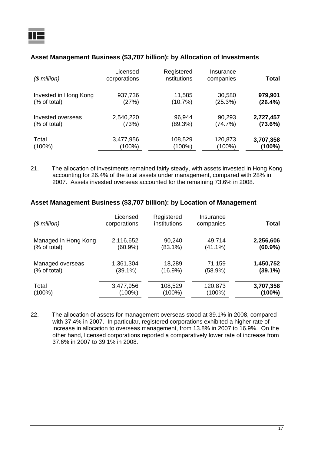### **Asset Management Business (\$3,707 billion): by Allocation of Investments**

| $$$ million)          | Licensed<br>corporations | Registered<br>institutions | Insurance<br>companies | Total     |
|-----------------------|--------------------------|----------------------------|------------------------|-----------|
| Invested in Hong Kong | 937,736                  | 11,585                     | 30,580                 | 979,901   |
| (% of total)          | (27%)                    | (10.7%)                    | (25.3%)                | (26.4%)   |
| Invested overseas     | 2,540,220                | 96,944                     | 90,293                 | 2,727,457 |
| (% of total)          | (73%)                    | (89.3%)                    | (74.7%)                | (73.6%)   |
| Total                 | 3,477,956                | 108,529                    | 120,873                | 3,707,358 |
| $(100\%)$             | (100%)                   | $(100\%)$                  | $(100\%)$              | (100%)    |

21. The allocation of investments remained fairly steady, with assets invested in Hong Kong accounting for 26.4% of the total assets under management, compared with 28% in 2007. Assets invested overseas accounted for the remaining 73.6% in 2008.

### **Asset Management Business (\$3,707 billion): by Location of Management**

| $$$ million)         | Licensed<br>corporations | Registered<br>institutions | Insurance<br>companies | Total      |
|----------------------|--------------------------|----------------------------|------------------------|------------|
| Managed in Hong Kong | 2,116,652                | 90,240                     | 49,714                 | 2,256,606  |
| (% of total)         | $(60.9\%)$               | $(83.1\%)$                 | $(41.1\%)$             | $(60.9\%)$ |
| Managed overseas     | 1,361,304                | 18,289                     | 71,159                 | 1,450,752  |
| (% of total)         | (39.1%)                  | $(16.9\%)$                 | (58.9%)                | $(39.1\%)$ |
| Total                | 3,477,956                | 108,529                    | 120,873                | 3,707,358  |
| $(100\%)$            | $(100\%)$                | $(100\%)$                  | $(100\%)$              | (100%)     |

22. The allocation of assets for management overseas stood at 39.1% in 2008, compared with 37.4% in 2007. In particular, registered corporations exhibited a higher rate of increase in allocation to overseas management, from 13.8% in 2007 to 16.9%. On the other hand, licensed corporations reported a comparatively lower rate of increase from 37.6% in 2007 to 39.1% in 2008.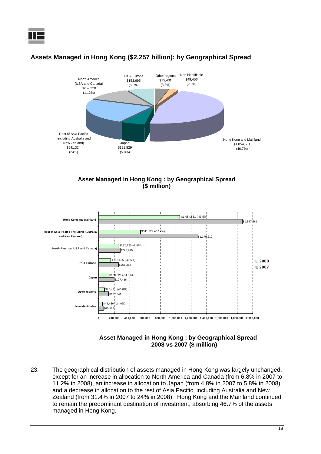

### **Assets Managed in Hong Kong (\$2,257 billion): by Geographical Spread**





#### **Asset Managed in Hong Kong : by Geographical Spread 2008 vs 2007 (\$ million)**

23. The geographical distribution of assets managed in Hong Kong was largely unchanged, except for an increase in allocation to North America and Canada (from 6.8% in 2007 to 11.2% in 2008), an increase in allocation to Japan (from 4.8% in 2007 to 5.8% in 2008) and a decrease in allocation to the rest of Asia Pacific, including Australia and New Zealand (from 31.4% in 2007 to 24% in 2008). Hong Kong and the Mainland continued to remain the predominant destination of investment, absorbing 46.7% of the assets managed in Hong Kong.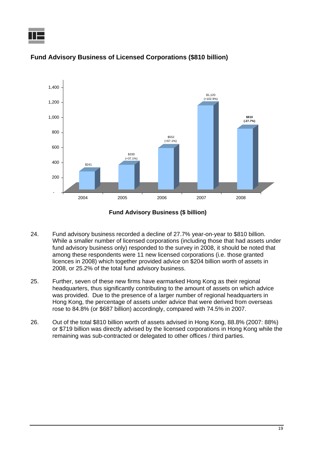



### **Fund Advisory Business of Licensed Corporations (\$810 billion)**

**Fund Advisory Business (\$ billion)**

- 24. Fund advisory business recorded a decline of 27.7% year-on-year to \$810 billion. While a smaller number of licensed corporations (including those that had assets under fund advisory business only) responded to the survey in 2008, it should be noted that among these respondents were 11 new licensed corporations (i.e. those granted licences in 2008) which together provided advice on \$204 billion worth of assets in 2008, or 25.2% of the total fund advisory business.
- 25. Further, seven of these new firms have earmarked Hong Kong as their regional headquarters, thus significantly contributing to the amount of assets on which advice was provided. Due to the presence of a larger number of regional headquarters in Hong Kong, the percentage of assets under advice that were derived from overseas rose to 84.8% (or \$687 billion) accordingly, compared with 74.5% in 2007.
- 26. Out of the total \$810 billion worth of assets advised in Hong Kong, 88.8% (2007: 88%) or \$719 billion was directly advised by the licensed corporations in Hong Kong while the remaining was sub-contracted or delegated to other offices / third parties.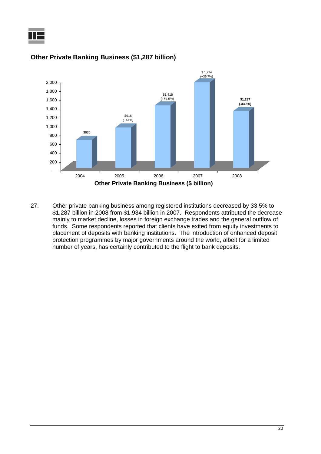



### **Other Private Banking Business (\$1,287 billion)**

27. Other private banking business among registered institutions decreased by 33.5% to \$1,287 billion in 2008 from \$1,934 billion in 2007. Respondents attributed the decrease mainly to market decline, losses in foreign exchange trades and the general outflow of funds. Some respondents reported that clients have exited from equity investments to placement of deposits with banking institutions. The introduction of enhanced deposit protection programmes by major governments around the world, albeit for a limited number of years, has certainly contributed to the flight to bank deposits.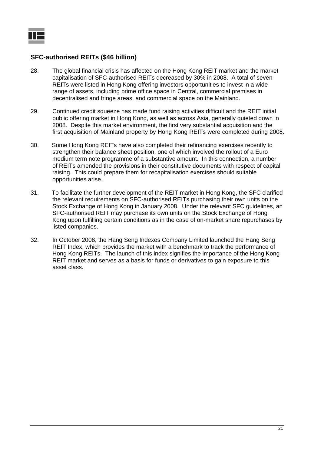### **SFC-authorised REITs (\$46 billion)**

- 28. The global financial crisis has affected on the Hong Kong REIT market and the market capitalisation of SFC-authorised REITs decreased by 30% in 2008. A total of seven REITs were listed in Hong Kong offering investors opportunities to invest in a wide range of assets, including prime office space in Central, commercial premises in decentralised and fringe areas, and commercial space on the Mainland.
- 29. Continued credit squeeze has made fund raising activities difficult and the REIT initial public offering market in Hong Kong, as well as across Asia, generally quieted down in 2008. Despite this market environment, the first very substantial acquisition and the first acquisition of Mainland property by Hong Kong REITs were completed during 2008.
- 30. Some Hong Kong REITs have also completed their refinancing exercises recently to strengthen their balance sheet position, one of which involved the rollout of a Euro medium term note programme of a substantive amount. In this connection, a number of REITs amended the provisions in their constitutive documents with respect of capital raising. This could prepare them for recapitalisation exercises should suitable opportunities arise.
- 31. To facilitate the further development of the REIT market in Hong Kong, the SFC clarified the relevant requirements on SFC-authorised REITs purchasing their own units on the Stock Exchange of Hong Kong in January 2008. Under the relevant SFC guidelines, an SFC-authorised REIT may purchase its own units on the Stock Exchange of Hong Kong upon fulfilling certain conditions as in the case of on-market share repurchases by listed companies.
- 32. In October 2008, the Hang Seng Indexes Company Limited launched the Hang Seng REIT Index, which provides the market with a benchmark to track the performance of Hong Kong REITs. The launch of this index signifies the importance of the Hong Kong REIT market and serves as a basis for funds or derivatives to gain exposure to this asset class.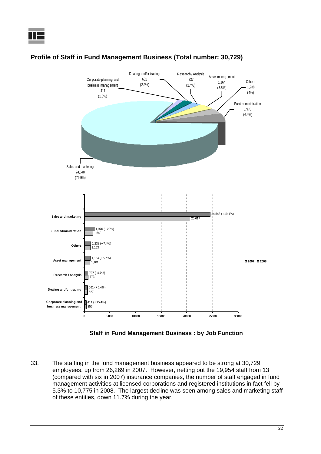

### **Profile of Staff in Fund Management Business (Total number: 30,729)**

**Staff in Fund Management Business : by Job Function**

33. The staffing in the fund management business appeared to be strong at 30,729 employees, up from 26,269 in 2007. However, netting out the 19,954 staff from 13 (compared with six in 2007) insurance companies, the number of staff engaged in fund management activities at licensed corporations and registered institutions in fact fell by 5.3% to 10,775 in 2008. The largest decline was seen among sales and marketing staff of these entities, down 11.7% during the year.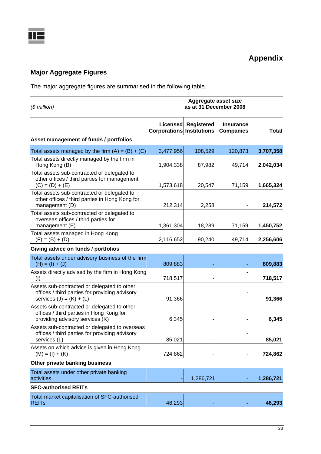## **Major Aggregate Figures**

The major aggregate figures are summarised in the following table.

| $$$ million)                                                                                                                | Aggregate asset size<br>as at 31 December 2008 |                   |                                      |              |
|-----------------------------------------------------------------------------------------------------------------------------|------------------------------------------------|-------------------|--------------------------------------|--------------|
|                                                                                                                             | Licensed<br><b>Corporations Institutions</b>   | <b>Registered</b> | <b>Insurance</b><br><b>Companies</b> | <b>Total</b> |
| Asset management of funds / portfolios                                                                                      |                                                |                   |                                      |              |
| Total assets managed by the firm $(A) = (B) + (C)$                                                                          | 3,477,956                                      | 108,529           | 120,873                              | 3,707,358    |
| Total assets directly managed by the firm in<br>Hong Kong (B)                                                               | 1,904,338                                      | 87,982            | 49,714                               | 2,042,034    |
| Total assets sub-contracted or delegated to<br>other offices / third parties for management<br>$(C) = (D) + (E)$            | 1,573,618                                      | 20,547            | 71,159                               | 1,665,324    |
| Total assets sub-contracted or delegated to<br>other offices / third parties in Hong Kong for<br>management (D)             | 212,314                                        | 2,258             |                                      | 214,572      |
| Total assets sub-contracted or delegated to<br>overseas offices / third parties for<br>management (E)                       | 1,361,304                                      | 18,289            | 71,159                               | 1,450,752    |
| Total assets managed in Hong Kong<br>$(F) = (B) + (D)$                                                                      | 2,116,652                                      | 90,240            | 49,714                               | 2,256,606    |
| Giving advice on funds / portfolios                                                                                         |                                                |                   |                                      |              |
| Total assets under advisory business of the firm<br>$(H) = (I) + (J)$                                                       | 809,883                                        |                   |                                      | 809,883      |
| Assets directly advised by the firm in Hong Kong<br>(1)                                                                     | 718,517                                        |                   |                                      | 718,517      |
| Assets sub-contracted or delegated to other<br>offices / third parties for providing advisory<br>services $(J) = (K) + (L)$ | 91,366                                         |                   |                                      | 91,366       |
| Assets sub-contracted or delegated to other<br>offices / third parties in Hong Kong for<br>providing advisory services (K)  | 6,345                                          |                   |                                      | 6,345        |
| Assets sub-contracted or delegated to overseas<br>offices / third parties for providing advisory<br>services (L)            | 85,021                                         |                   |                                      | 85,021       |
| Assets on which advice is given in Hong Kong<br>$(M) = (I) + (K)$                                                           | 724,862                                        |                   |                                      | 724,862      |
| Other private banking business                                                                                              |                                                |                   |                                      |              |
| Total assets under other private banking<br>activities                                                                      |                                                | 1,286,721         |                                      | 1,286,721    |
| <b>SFC-authorised REITs</b>                                                                                                 |                                                |                   |                                      |              |
| Total market capitalisation of SFC-authorised<br><b>REITs</b>                                                               | 46,293                                         |                   |                                      | 46,293       |